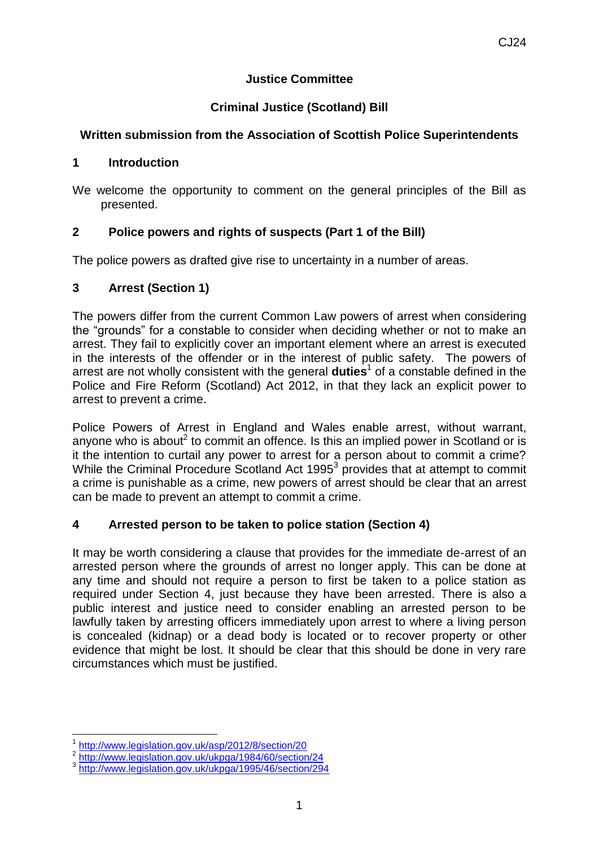### **Justice Committee**

## **Criminal Justice (Scotland) Bill**

## **Written submission from the Association of Scottish Police Superintendents**

#### **1 Introduction**

We welcome the opportunity to comment on the general principles of the Bill as presented.

## **2 Police powers and rights of suspects (Part 1 of the Bill)**

The police powers as drafted give rise to uncertainty in a number of areas.

### **3 Arrest (Section 1)**

The powers differ from the current Common Law powers of arrest when considering the "grounds" for a constable to consider when deciding whether or not to make an arrest. They fail to explicitly cover an important element where an arrest is executed in the interests of the offender or in the interest of public safety. The powers of arrest are not wholly consistent with the general **duties**<sup>1</sup> of a constable defined in the Police and Fire Reform (Scotland) Act 2012, in that they lack an explicit power to arrest to prevent a crime.

Police Powers of Arrest in England and Wales enable arrest, without warrant, anyone who is about<sup>2</sup> to commit an offence. Is this an implied power in Scotland or is it the intention to curtail any power to arrest for a person about to commit a crime? While the Criminal Procedure Scotland Act 1995 $3$  provides that at attempt to commit a crime is punishable as a crime, new powers of arrest should be clear that an arrest can be made to prevent an attempt to commit a crime.

### **4 Arrested person to be taken to police station (Section 4)**

It may be worth considering a clause that provides for the immediate de-arrest of an arrested person where the grounds of arrest no longer apply. This can be done at any time and should not require a person to first be taken to a police station as required under Section 4, just because they have been arrested. There is also a public interest and justice need to consider enabling an arrested person to be lawfully taken by arresting officers immediately upon arrest to where a living person is concealed (kidnap) or a dead body is located or to recover property or other evidence that might be lost. It should be clear that this should be done in very rare circumstances which must be justified.

 $\overline{a}$ 1 <http://www.legislation.gov.uk/asp/2012/8/section/20>

<sup>&</sup>lt;sup>2</sup> <http://www.legislation.gov.uk/ukpga/1984/60/section/24>

<sup>3</sup> <http://www.legislation.gov.uk/ukpga/1995/46/section/294>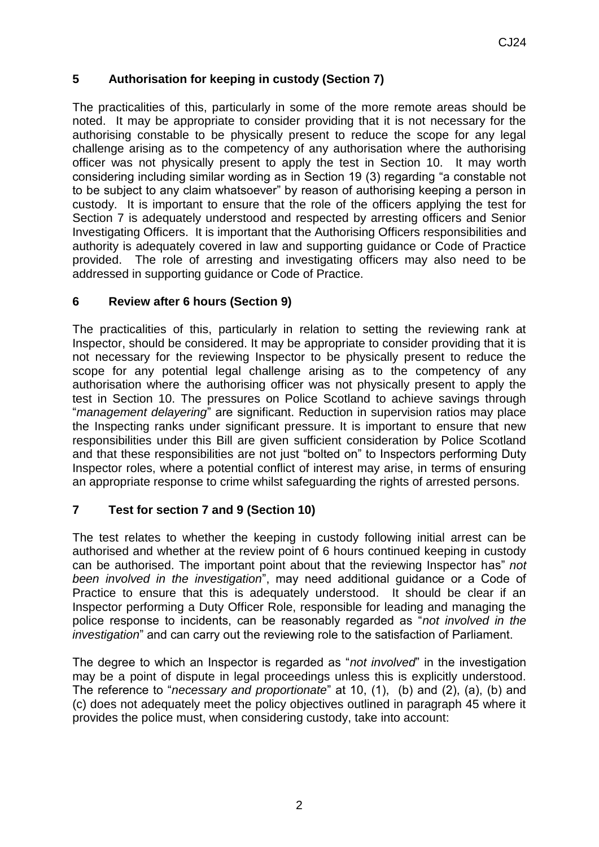# **5 Authorisation for keeping in custody (Section 7)**

The practicalities of this, particularly in some of the more remote areas should be noted. It may be appropriate to consider providing that it is not necessary for the authorising constable to be physically present to reduce the scope for any legal challenge arising as to the competency of any authorisation where the authorising officer was not physically present to apply the test in Section 10. It may worth considering including similar wording as in Section 19 (3) regarding "a constable not to be subject to any claim whatsoever" by reason of authorising keeping a person in custody. It is important to ensure that the role of the officers applying the test for Section 7 is adequately understood and respected by arresting officers and Senior Investigating Officers. It is important that the Authorising Officers responsibilities and authority is adequately covered in law and supporting guidance or Code of Practice provided. The role of arresting and investigating officers may also need to be addressed in supporting guidance or Code of Practice.

### **6 Review after 6 hours (Section 9)**

The practicalities of this, particularly in relation to setting the reviewing rank at Inspector, should be considered. It may be appropriate to consider providing that it is not necessary for the reviewing Inspector to be physically present to reduce the scope for any potential legal challenge arising as to the competency of any authorisation where the authorising officer was not physically present to apply the test in Section 10. The pressures on Police Scotland to achieve savings through "*management delayering*" are significant. Reduction in supervision ratios may place the Inspecting ranks under significant pressure. It is important to ensure that new responsibilities under this Bill are given sufficient consideration by Police Scotland and that these responsibilities are not just "bolted on" to Inspectors performing Duty Inspector roles, where a potential conflict of interest may arise, in terms of ensuring an appropriate response to crime whilst safeguarding the rights of arrested persons.

# **7 Test for section 7 and 9 (Section 10)**

The test relates to whether the keeping in custody following initial arrest can be authorised and whether at the review point of 6 hours continued keeping in custody can be authorised. The important point about that the reviewing Inspector has" *not been involved in the investigation*", may need additional guidance or a Code of Practice to ensure that this is adequately understood. It should be clear if an Inspector performing a Duty Officer Role, responsible for leading and managing the police response to incidents, can be reasonably regarded as "*not involved in the investigation*" and can carry out the reviewing role to the satisfaction of Parliament.

The degree to which an Inspector is regarded as "*not involved*" in the investigation may be a point of dispute in legal proceedings unless this is explicitly understood. The reference to "*necessary and proportionate*" at 10, (1), (b) and (2), (a), (b) and (c) does not adequately meet the policy objectives outlined in paragraph 45 where it provides the police must, when considering custody, take into account: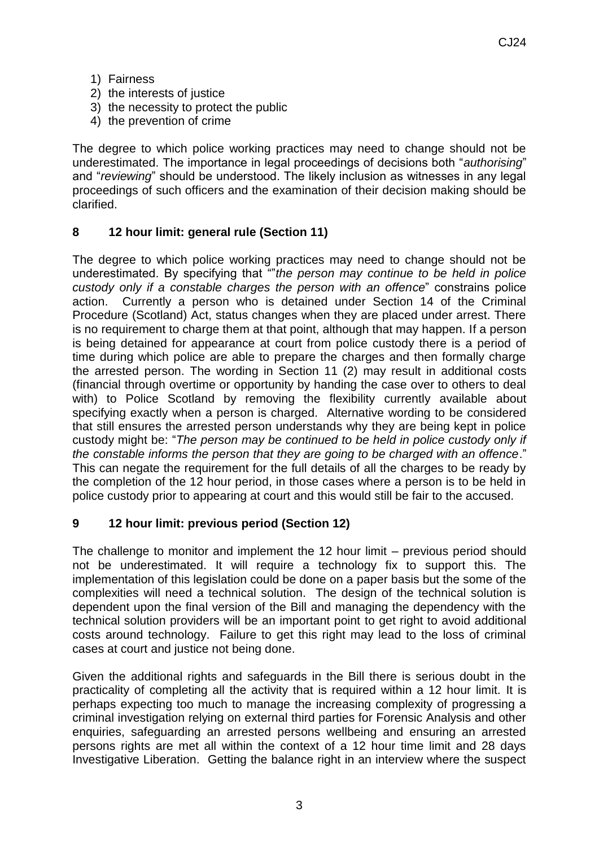- 1) Fairness
- 2) the interests of justice
- 3) the necessity to protect the public
- 4) the prevention of crime

The degree to which police working practices may need to change should not be underestimated. The importance in legal proceedings of decisions both "*authorising*" and "*reviewing*" should be understood. The likely inclusion as witnesses in any legal proceedings of such officers and the examination of their decision making should be clarified.

# **8 12 hour limit: general rule (Section 11)**

The degree to which police working practices may need to change should not be underestimated. By specifying that ""*the person may continue to be held in police custody only if a constable charges the person with an offence*" constrains police action. Currently a person who is detained under Section 14 of the Criminal Procedure (Scotland) Act, status changes when they are placed under arrest. There is no requirement to charge them at that point, although that may happen. If a person is being detained for appearance at court from police custody there is a period of time during which police are able to prepare the charges and then formally charge the arrested person. The wording in Section 11 (2) may result in additional costs (financial through overtime or opportunity by handing the case over to others to deal with) to Police Scotland by removing the flexibility currently available about specifying exactly when a person is charged. Alternative wording to be considered that still ensures the arrested person understands why they are being kept in police custody might be: "*The person may be continued to be held in police custody only if the constable informs the person that they are going to be charged with an offence*." This can negate the requirement for the full details of all the charges to be ready by the completion of the 12 hour period, in those cases where a person is to be held in police custody prior to appearing at court and this would still be fair to the accused.

### **9 12 hour limit: previous period (Section 12)**

The challenge to monitor and implement the 12 hour limit – previous period should not be underestimated. It will require a technology fix to support this. The implementation of this legislation could be done on a paper basis but the some of the complexities will need a technical solution. The design of the technical solution is dependent upon the final version of the Bill and managing the dependency with the technical solution providers will be an important point to get right to avoid additional costs around technology. Failure to get this right may lead to the loss of criminal cases at court and justice not being done.

Given the additional rights and safeguards in the Bill there is serious doubt in the practicality of completing all the activity that is required within a 12 hour limit. It is perhaps expecting too much to manage the increasing complexity of progressing a criminal investigation relying on external third parties for Forensic Analysis and other enquiries, safeguarding an arrested persons wellbeing and ensuring an arrested persons rights are met all within the context of a 12 hour time limit and 28 days Investigative Liberation. Getting the balance right in an interview where the suspect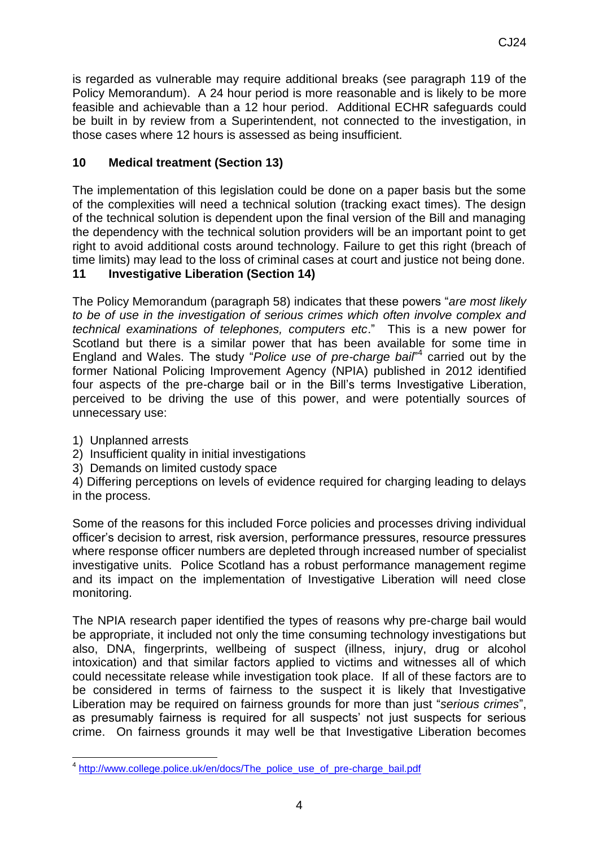is regarded as vulnerable may require additional breaks (see paragraph 119 of the Policy Memorandum). A 24 hour period is more reasonable and is likely to be more feasible and achievable than a 12 hour period. Additional ECHR safeguards could be built in by review from a Superintendent, not connected to the investigation, in those cases where 12 hours is assessed as being insufficient.

## **10 Medical treatment (Section 13)**

The implementation of this legislation could be done on a paper basis but the some of the complexities will need a technical solution (tracking exact times). The design of the technical solution is dependent upon the final version of the Bill and managing the dependency with the technical solution providers will be an important point to get right to avoid additional costs around technology. Failure to get this right (breach of time limits) may lead to the loss of criminal cases at court and justice not being done.

## **11 Investigative Liberation (Section 14)**

The Policy Memorandum (paragraph 58) indicates that these powers "*are most likely to be of use in the investigation of serious crimes which often involve complex and technical examinations of telephones, computers etc*." This is a new power for Scotland but there is a similar power that has been available for some time in England and Wales. The study "*Police use of pre-charge bail*" 4 carried out by the former National Policing Improvement Agency (NPIA) published in 2012 identified four aspects of the pre-charge bail or in the Bill's terms Investigative Liberation, perceived to be driving the use of this power, and were potentially sources of unnecessary use:

- 1) Unplanned arrests
- 2) Insufficient quality in initial investigations
- 3) Demands on limited custody space

4) Differing perceptions on levels of evidence required for charging leading to delays in the process.

Some of the reasons for this included Force policies and processes driving individual officer's decision to arrest, risk aversion, performance pressures, resource pressures where response officer numbers are depleted through increased number of specialist investigative units. Police Scotland has a robust performance management regime and its impact on the implementation of Investigative Liberation will need close monitoring.

The NPIA research paper identified the types of reasons why pre-charge bail would be appropriate, it included not only the time consuming technology investigations but also, DNA, fingerprints, wellbeing of suspect (illness, injury, drug or alcohol intoxication) and that similar factors applied to victims and witnesses all of which could necessitate release while investigation took place. If all of these factors are to be considered in terms of fairness to the suspect it is likely that Investigative Liberation may be required on fairness grounds for more than just "*serious crimes*", as presumably fairness is required for all suspects' not just suspects for serious crime. On fairness grounds it may well be that Investigative Liberation becomes

 4 [http://www.college.police.uk/en/docs/The\\_police\\_use\\_of\\_pre-charge\\_bail.pdf](http://www.college.police.uk/en/docs/The_police_use_of_pre-charge_bail.pdf)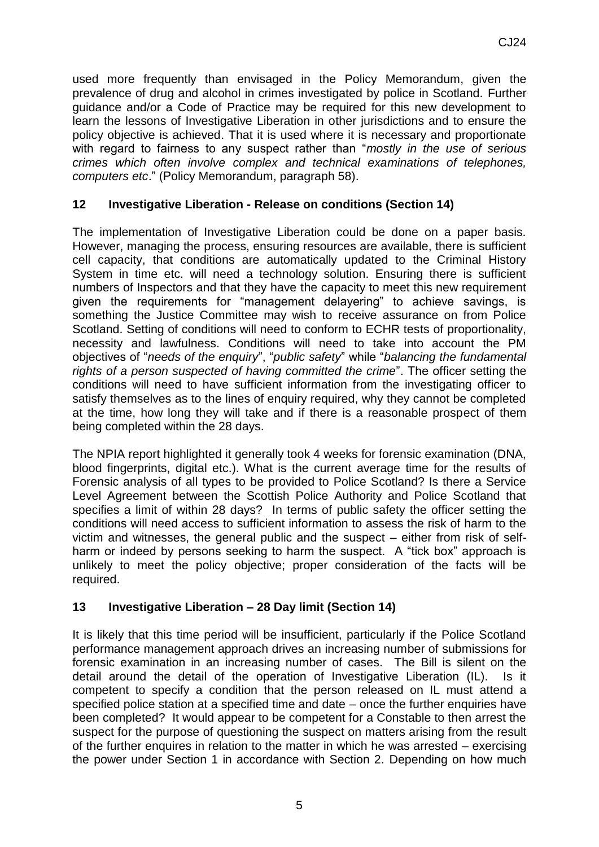used more frequently than envisaged in the Policy Memorandum, given the prevalence of drug and alcohol in crimes investigated by police in Scotland. Further guidance and/or a Code of Practice may be required for this new development to learn the lessons of Investigative Liberation in other jurisdictions and to ensure the policy objective is achieved. That it is used where it is necessary and proportionate with regard to fairness to any suspect rather than "*mostly in the use of serious crimes which often involve complex and technical examinations of telephones, computers etc*." (Policy Memorandum, paragraph 58).

## **12 Investigative Liberation - Release on conditions (Section 14)**

The implementation of Investigative Liberation could be done on a paper basis. However, managing the process, ensuring resources are available, there is sufficient cell capacity, that conditions are automatically updated to the Criminal History System in time etc. will need a technology solution. Ensuring there is sufficient numbers of Inspectors and that they have the capacity to meet this new requirement given the requirements for "management delayering" to achieve savings, is something the Justice Committee may wish to receive assurance on from Police Scotland. Setting of conditions will need to conform to ECHR tests of proportionality, necessity and lawfulness. Conditions will need to take into account the PM objectives of "*needs of the enquiry*", "*public safety*" while "*balancing the fundamental rights of a person suspected of having committed the crime*". The officer setting the conditions will need to have sufficient information from the investigating officer to satisfy themselves as to the lines of enquiry required, why they cannot be completed at the time, how long they will take and if there is a reasonable prospect of them being completed within the 28 days.

The NPIA report highlighted it generally took 4 weeks for forensic examination (DNA, blood fingerprints, digital etc.). What is the current average time for the results of Forensic analysis of all types to be provided to Police Scotland? Is there a Service Level Agreement between the Scottish Police Authority and Police Scotland that specifies a limit of within 28 days? In terms of public safety the officer setting the conditions will need access to sufficient information to assess the risk of harm to the victim and witnesses, the general public and the suspect – either from risk of selfharm or indeed by persons seeking to harm the suspect. A "tick box" approach is unlikely to meet the policy objective; proper consideration of the facts will be required.

### **13 Investigative Liberation – 28 Day limit (Section 14)**

It is likely that this time period will be insufficient, particularly if the Police Scotland performance management approach drives an increasing number of submissions for forensic examination in an increasing number of cases. The Bill is silent on the detail around the detail of the operation of Investigative Liberation (IL). Is it competent to specify a condition that the person released on IL must attend a specified police station at a specified time and date – once the further enquiries have been completed? It would appear to be competent for a Constable to then arrest the suspect for the purpose of questioning the suspect on matters arising from the result of the further enquires in relation to the matter in which he was arrested – exercising the power under Section 1 in accordance with Section 2. Depending on how much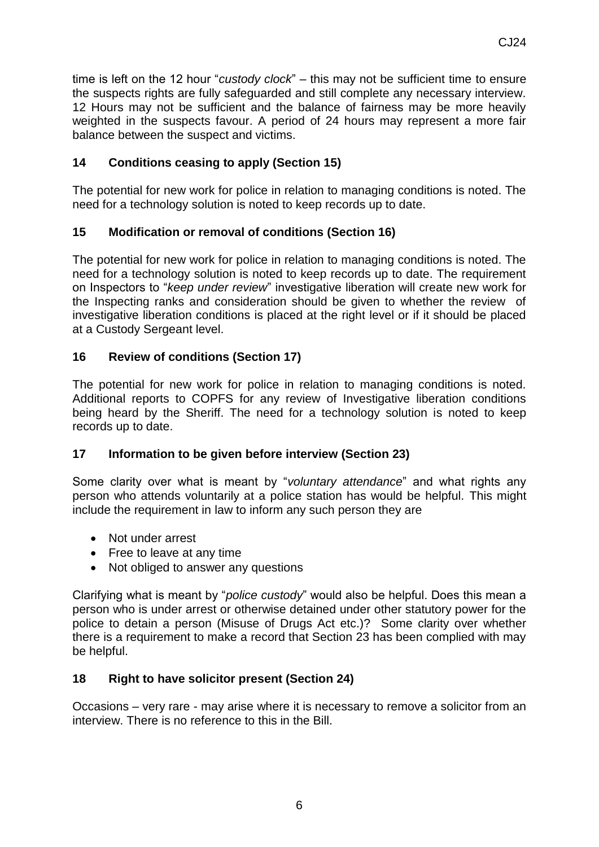time is left on the 12 hour "*custody clock*" – this may not be sufficient time to ensure the suspects rights are fully safeguarded and still complete any necessary interview. 12 Hours may not be sufficient and the balance of fairness may be more heavily weighted in the suspects favour. A period of 24 hours may represent a more fair balance between the suspect and victims.

## **14 Conditions ceasing to apply (Section 15)**

The potential for new work for police in relation to managing conditions is noted. The need for a technology solution is noted to keep records up to date.

## **15 Modification or removal of conditions (Section 16)**

The potential for new work for police in relation to managing conditions is noted. The need for a technology solution is noted to keep records up to date. The requirement on Inspectors to "*keep under review*" investigative liberation will create new work for the Inspecting ranks and consideration should be given to whether the review of investigative liberation conditions is placed at the right level or if it should be placed at a Custody Sergeant level.

## **16 Review of conditions (Section 17)**

The potential for new work for police in relation to managing conditions is noted. Additional reports to COPFS for any review of Investigative liberation conditions being heard by the Sheriff. The need for a technology solution is noted to keep records up to date.

### **17 Information to be given before interview (Section 23)**

Some clarity over what is meant by "*voluntary attendance*" and what rights any person who attends voluntarily at a police station has would be helpful. This might include the requirement in law to inform any such person they are

- Not under arrest
- Free to leave at any time
- Not obliged to answer any questions

Clarifying what is meant by "*police custody*" would also be helpful. Does this mean a person who is under arrest or otherwise detained under other statutory power for the police to detain a person (Misuse of Drugs Act etc.)? Some clarity over whether there is a requirement to make a record that Section 23 has been complied with may be helpful.

### **18 Right to have solicitor present (Section 24)**

Occasions – very rare - may arise where it is necessary to remove a solicitor from an interview. There is no reference to this in the Bill.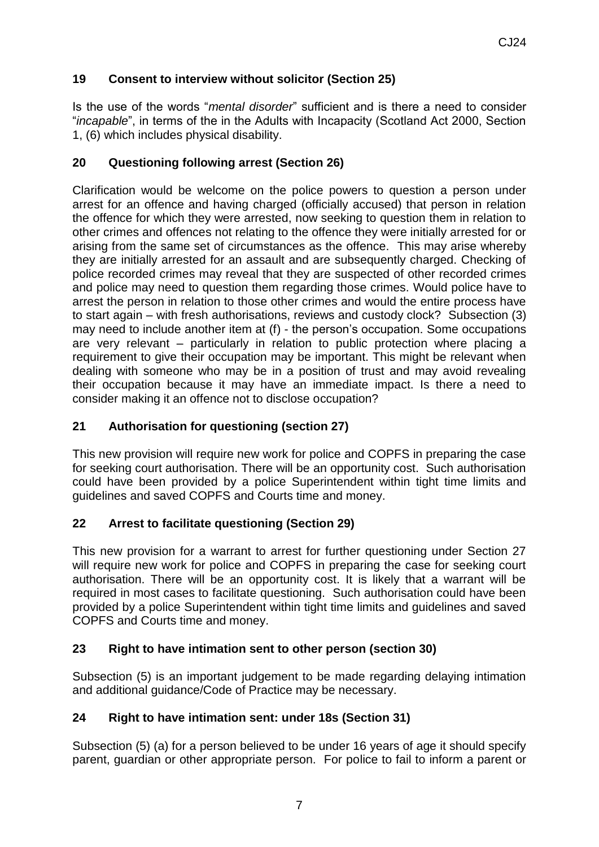# **19 Consent to interview without solicitor (Section 25)**

Is the use of the words "*mental disorder*" sufficient and is there a need to consider "*incapable*", in terms of the in the Adults with Incapacity (Scotland Act 2000, Section 1, (6) which includes physical disability.

### **20 Questioning following arrest (Section 26)**

Clarification would be welcome on the police powers to question a person under arrest for an offence and having charged (officially accused) that person in relation the offence for which they were arrested, now seeking to question them in relation to other crimes and offences not relating to the offence they were initially arrested for or arising from the same set of circumstances as the offence. This may arise whereby they are initially arrested for an assault and are subsequently charged. Checking of police recorded crimes may reveal that they are suspected of other recorded crimes and police may need to question them regarding those crimes. Would police have to arrest the person in relation to those other crimes and would the entire process have to start again – with fresh authorisations, reviews and custody clock? Subsection (3) may need to include another item at (f) - the person's occupation. Some occupations are very relevant – particularly in relation to public protection where placing a requirement to give their occupation may be important. This might be relevant when dealing with someone who may be in a position of trust and may avoid revealing their occupation because it may have an immediate impact. Is there a need to consider making it an offence not to disclose occupation?

## **21 Authorisation for questioning (section 27)**

This new provision will require new work for police and COPFS in preparing the case for seeking court authorisation. There will be an opportunity cost. Such authorisation could have been provided by a police Superintendent within tight time limits and guidelines and saved COPFS and Courts time and money.

# **22 Arrest to facilitate questioning (Section 29)**

This new provision for a warrant to arrest for further questioning under Section 27 will require new work for police and COPFS in preparing the case for seeking court authorisation. There will be an opportunity cost. It is likely that a warrant will be required in most cases to facilitate questioning. Such authorisation could have been provided by a police Superintendent within tight time limits and guidelines and saved COPFS and Courts time and money.

### **23 Right to have intimation sent to other person (section 30)**

Subsection (5) is an important judgement to be made regarding delaying intimation and additional guidance/Code of Practice may be necessary.

### **24 Right to have intimation sent: under 18s (Section 31)**

Subsection (5) (a) for a person believed to be under 16 years of age it should specify parent, guardian or other appropriate person. For police to fail to inform a parent or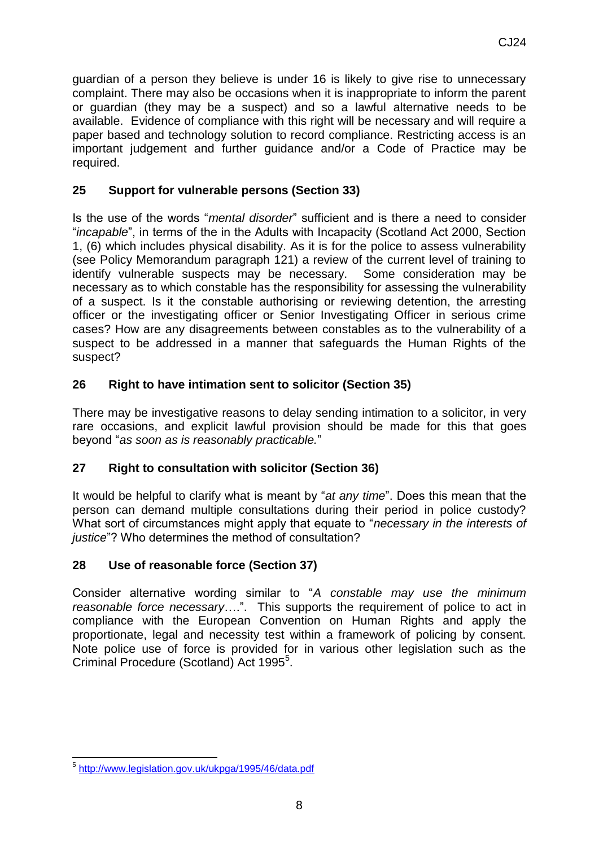guardian of a person they believe is under 16 is likely to give rise to unnecessary complaint. There may also be occasions when it is inappropriate to inform the parent or guardian (they may be a suspect) and so a lawful alternative needs to be available. Evidence of compliance with this right will be necessary and will require a paper based and technology solution to record compliance. Restricting access is an important judgement and further guidance and/or a Code of Practice may be required.

# **25 Support for vulnerable persons (Section 33)**

Is the use of the words "*mental disorder*" sufficient and is there a need to consider "*incapable*", in terms of the in the Adults with Incapacity (Scotland Act 2000, Section 1, (6) which includes physical disability. As it is for the police to assess vulnerability (see Policy Memorandum paragraph 121) a review of the current level of training to identify vulnerable suspects may be necessary. Some consideration may be necessary as to which constable has the responsibility for assessing the vulnerability of a suspect. Is it the constable authorising or reviewing detention, the arresting officer or the investigating officer or Senior Investigating Officer in serious crime cases? How are any disagreements between constables as to the vulnerability of a suspect to be addressed in a manner that safeguards the Human Rights of the suspect?

## **26 Right to have intimation sent to solicitor (Section 35)**

There may be investigative reasons to delay sending intimation to a solicitor, in very rare occasions, and explicit lawful provision should be made for this that goes beyond "*as soon as is reasonably practicable.*"

### **27 Right to consultation with solicitor (Section 36)**

It would be helpful to clarify what is meant by "*at any time*". Does this mean that the person can demand multiple consultations during their period in police custody? What sort of circumstances might apply that equate to "*necessary in the interests of justice*"? Who determines the method of consultation?

### **28 Use of reasonable force (Section 37)**

Consider alternative wording similar to "*A constable may use the minimum reasonable force necessary*….". This supports the requirement of police to act in compliance with the European Convention on Human Rights and apply the proportionate, legal and necessity test within a framework of policing by consent. Note police use of force is provided for in various other legislation such as the Criminal Procedure (Scotland) Act 1995<sup>5</sup>.

 5 <http://www.legislation.gov.uk/ukpga/1995/46/data.pdf>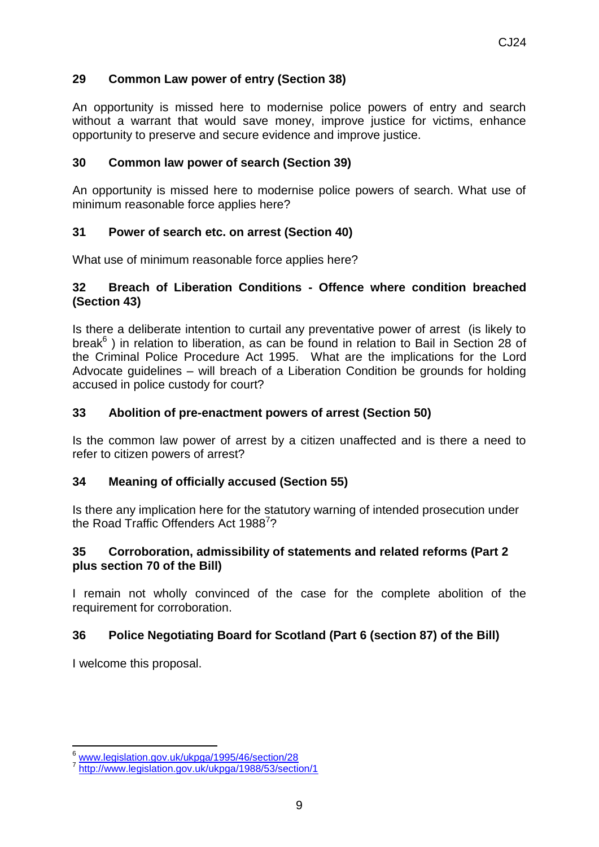### **29 Common Law power of entry (Section 38)**

An opportunity is missed here to modernise police powers of entry and search without a warrant that would save money, improve justice for victims, enhance opportunity to preserve and secure evidence and improve justice.

#### **30 Common law power of search (Section 39)**

An opportunity is missed here to modernise police powers of search. What use of minimum reasonable force applies here?

### **31 Power of search etc. on arrest (Section 40)**

What use of minimum reasonable force applies here?

#### **32 Breach of Liberation Conditions - Offence where condition breached (Section 43)**

Is there a deliberate intention to curtail any preventative power of arrest (is likely to break<sup>6</sup>) in relation to liberation, as can be found in relation to Bail in Section 28 of the Criminal Police Procedure Act 1995. What are the implications for the Lord Advocate guidelines – will breach of a Liberation Condition be grounds for holding accused in police custody for court?

#### **33 Abolition of pre-enactment powers of arrest (Section 50)**

Is the common law power of arrest by a citizen unaffected and is there a need to refer to citizen powers of arrest?

### **34 Meaning of officially accused (Section 55)**

Is there any implication here for the statutory warning of intended prosecution under the Road Traffic Offenders Act 1988<sup>7</sup>?

#### **35 Corroboration, admissibility of statements and related reforms (Part 2 plus section 70 of the Bill)**

I remain not wholly convinced of the case for the complete abolition of the requirement for corroboration.

### **36 Police Negotiating Board for Scotland (Part 6 (section 87) of the Bill)**

I welcome this proposal.

<sup>1</sup> <sup>6</sup> [www.legislation.gov.uk/ukpga/1995/46/section/28](http://www.legislation.gov.uk/ukpga/1995/46/section/28)

<sup>7</sup> <http://www.legislation.gov.uk/ukpga/1988/53/section/1>